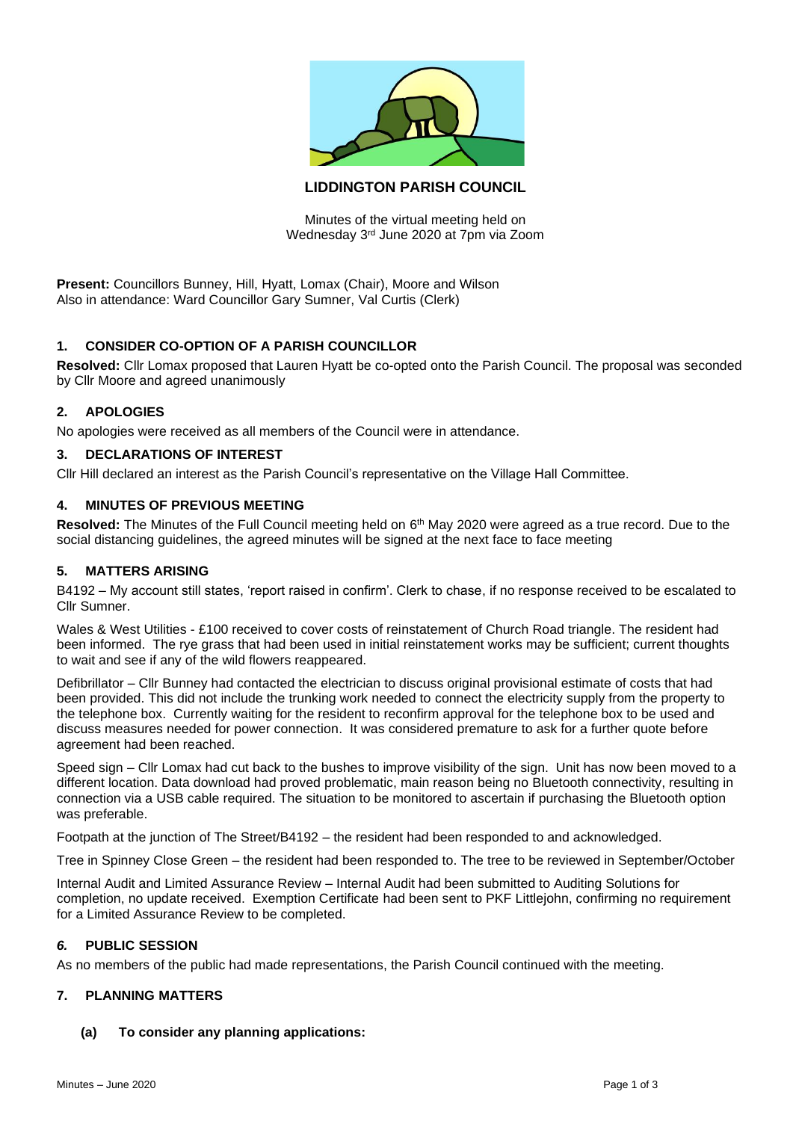

# **LIDDINGTON PARISH COUNCIL**

Minutes of the virtual meeting held on Wednesday 3rd June 2020 at 7pm via Zoom

**Present:** Councillors Bunney, Hill, Hyatt, Lomax (Chair), Moore and Wilson Also in attendance: Ward Councillor Gary Sumner, Val Curtis (Clerk)

# **1. CONSIDER CO-OPTION OF A PARISH COUNCILLOR**

**Resolved:** Cllr Lomax proposed that Lauren Hyatt be co-opted onto the Parish Council. The proposal was seconded by Cllr Moore and agreed unanimously

## **2. APOLOGIES**

No apologies were received as all members of the Council were in attendance.

## **3. DECLARATIONS OF INTEREST**

Cllr Hill declared an interest as the Parish Council's representative on the Village Hall Committee.

## **4. MINUTES OF PREVIOUS MEETING**

Resolved: The Minutes of the Full Council meeting held on 6<sup>th</sup> May 2020 were agreed as a true record. Due to the social distancing guidelines, the agreed minutes will be signed at the next face to face meeting

## **5. MATTERS ARISING**

B4192 – My account still states, 'report raised in confirm'. Clerk to chase, if no response received to be escalated to Cllr Sumner.

Wales & West Utilities - £100 received to cover costs of reinstatement of Church Road triangle. The resident had been informed. The rye grass that had been used in initial reinstatement works may be sufficient; current thoughts to wait and see if any of the wild flowers reappeared.

Defibrillator – Cllr Bunney had contacted the electrician to discuss original provisional estimate of costs that had been provided. This did not include the trunking work needed to connect the electricity supply from the property to the telephone box. Currently waiting for the resident to reconfirm approval for the telephone box to be used and discuss measures needed for power connection. It was considered premature to ask for a further quote before agreement had been reached.

Speed sign – Cllr Lomax had cut back to the bushes to improve visibility of the sign. Unit has now been moved to a different location. Data download had proved problematic, main reason being no Bluetooth connectivity, resulting in connection via a USB cable required. The situation to be monitored to ascertain if purchasing the Bluetooth option was preferable.

Footpath at the junction of The Street/B4192 – the resident had been responded to and acknowledged.

Tree in Spinney Close Green – the resident had been responded to. The tree to be reviewed in September/October

Internal Audit and Limited Assurance Review – Internal Audit had been submitted to Auditing Solutions for completion, no update received. Exemption Certificate had been sent to PKF Littlejohn, confirming no requirement for a Limited Assurance Review to be completed.

#### *6.* **PUBLIC SESSION**

As no members of the public had made representations, the Parish Council continued with the meeting.

#### **7. PLANNING MATTERS**

**(a) To consider any planning applications:**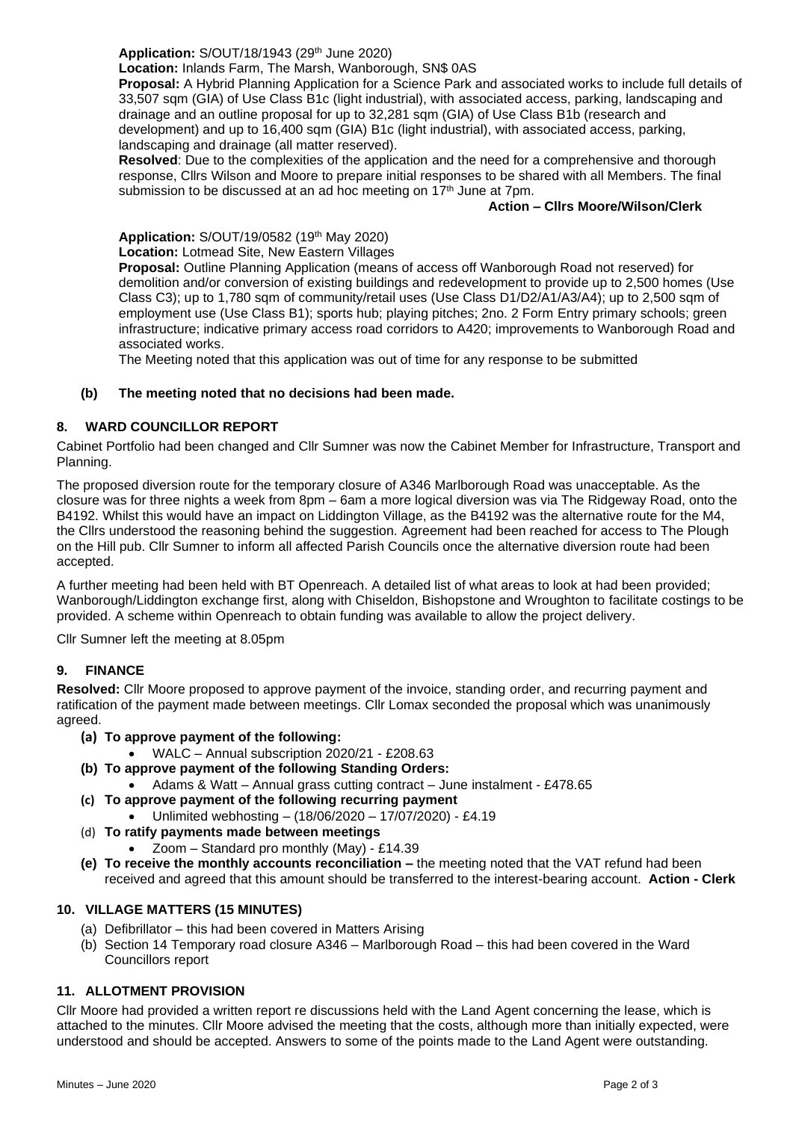# **Application:** S/OUT/18/1943 (29th June 2020)

**Location:** Inlands Farm, The Marsh, Wanborough, SN\$ 0AS

**Proposal:** A Hybrid Planning Application for a Science Park and associated works to include full details of 33,507 sqm (GIA) of Use Class B1c (light industrial), with associated access, parking, landscaping and drainage and an outline proposal for up to 32,281 sqm (GIA) of Use Class B1b (research and development) and up to 16,400 sqm (GIA) B1c (light industrial), with associated access, parking, landscaping and drainage (all matter reserved).

**Resolved**: Due to the complexities of the application and the need for a comprehensive and thorough response, Cllrs Wilson and Moore to prepare initial responses to be shared with all Members. The final submission to be discussed at an ad hoc meeting on 17<sup>th</sup> June at 7pm.

## **Action – Cllrs Moore/Wilson/Clerk**

**Application:** S/OUT/19/0582 (19th May 2020)

**Location:** Lotmead Site, New Eastern Villages

**Proposal:** Outline Planning Application (means of access off Wanborough Road not reserved) for demolition and/or conversion of existing buildings and redevelopment to provide up to 2,500 homes (Use Class C3); up to 1,780 sqm of community/retail uses (Use Class D1/D2/A1/A3/A4); up to 2,500 sqm of employment use (Use Class B1); sports hub; playing pitches; 2no. 2 Form Entry primary schools; green infrastructure; indicative primary access road corridors to A420; improvements to Wanborough Road and associated works.

The Meeting noted that this application was out of time for any response to be submitted

## **(b) The meeting noted that no decisions had been made.**

# **8. WARD COUNCILLOR REPORT**

Cabinet Portfolio had been changed and Cllr Sumner was now the Cabinet Member for Infrastructure, Transport and Planning.

The proposed diversion route for the temporary closure of A346 Marlborough Road was unacceptable. As the closure was for three nights a week from 8pm – 6am a more logical diversion was via The Ridgeway Road, onto the B4192. Whilst this would have an impact on Liddington Village, as the B4192 was the alternative route for the M4, the Cllrs understood the reasoning behind the suggestion. Agreement had been reached for access to The Plough on the Hill pub. Cllr Sumner to inform all affected Parish Councils once the alternative diversion route had been accepted.

A further meeting had been held with BT Openreach. A detailed list of what areas to look at had been provided; Wanborough/Liddington exchange first, along with Chiseldon, Bishopstone and Wroughton to facilitate costings to be provided. A scheme within Openreach to obtain funding was available to allow the project delivery.

Cllr Sumner left the meeting at 8.05pm

## **9. FINANCE**

**Resolved:** Cllr Moore proposed to approve payment of the invoice, standing order, and recurring payment and ratification of the payment made between meetings. Cllr Lomax seconded the proposal which was unanimously agreed.

- **(a) To approve payment of the following:**
	- WALC Annual subscription 2020/21 £208.63
- **(b) To approve payment of the following Standing Orders:**
	- Adams & Watt Annual grass cutting contract June instalment £478.65
- **(c) To approve payment of the following recurring payment** • Unlimited webhosting – (18/06/2020 – 17/07/2020) - £4.19
- (d) **To ratify payments made between meetings**
	- Zoom Standard pro monthly (May) £14.39
- **(e) To receive the monthly accounts reconciliation –** the meeting noted that the VAT refund had been received and agreed that this amount should be transferred to the interest-bearing account. **Action - Clerk**

## **10. VILLAGE MATTERS (15 MINUTES)**

- (a) Defibrillator this had been covered in Matters Arising
- (b) Section 14 Temporary road closure A346 Marlborough Road this had been covered in the Ward Councillors report

## **11. ALLOTMENT PROVISION**

Cllr Moore had provided a written report re discussions held with the Land Agent concerning the lease, which is attached to the minutes. Cllr Moore advised the meeting that the costs, although more than initially expected, were understood and should be accepted. Answers to some of the points made to the Land Agent were outstanding.